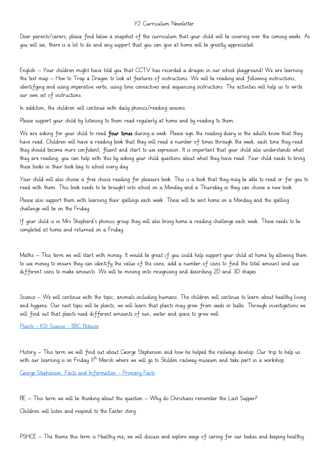## Y2 Curriculum Newsletter.

Dear parents/carers, please find below a snapshot of the curriculum that your child will be covering over the coming weeks. As you will see, there is a lot to do and any support that you can give at home will be greatly appreciated.

English – Your children might have told you that CCTV has recorded a dragon in our school playground! We are learning the text map – How to Trap a Dragon to look at features of instructions. We will be reading and following instructions, identifying and using imperative verbs, using time connectives and sequencing instructions. The activities will help us to write our own set of instructions.

In addition, the children will continue with daily phonics/reading sessions.

Please support your child by listening to them read regularly at home and by reading to them.

We are asking for your child to read four times during a week. Please sign the reading diary so the adults know that they have read. Children will have a reading book that they will read a number of times through the week, each time they read they should become more confident, fluent and start to use expression. It is important that your child also understands what they are reading, you can help with this by asking your child questions about what they have read. Your child needs to bring these books in their book bag to school every day.

Your child will also choose a free choice reading for pleasure book. This is a book that they may be able to read or for you to read with them. This book needs to be brought into school on a Monday and a Thursday so they can choose a new book.

Please also support them with learning their spellings each week. These will be sent home on a Monday and the spelling challenge will be on the Friday.

If your child is in Mrs Shepherd's phonics group they will also bring home a reading challenge each week. These needs to be completed at home and returned on a Friday.

Maths – This term we will start with money. It would be great if you could help support your child at home by allowing them to use money to ensure they can identify the value of the coins, add a number of coins to find the total amount and use different coins to make amounts. We will be moving onto recognising and describing 2D and 3D shapes.

Science – We will continue with the topic; animals including humans. The children will continue to learn about healthy living and hygiene. Our next topic will be plants, we will learn that plants may grow from seeds or bulbs. Through investigations we will find out that plants need different amounts of sun, water and space to grow well.

Plants - [KS1 Science -](https://www.bbc.co.uk/bitesize/topics/zpxnyrd) BBC Bitesize

History – This term we will find out about George Stephenson and how he helped the railways develop. Our trip to help us with our learning is on Friday II<sup>th</sup> March where we will go to Shildon railway museum and take part in a workshop.

[George Stephenson: Facts and Information -](https://primaryfacts.com/2900/george-stephenson-facts-and-information/) Primary Facts

RE – This term we will be thinking about the question – Why do Christians remember the Last Supper? Children will listen and respond to the Easter story.

PSHCE – The theme this term is Healthy me; we will discuss and explore ways of caring for our bodies and keeping healthy.